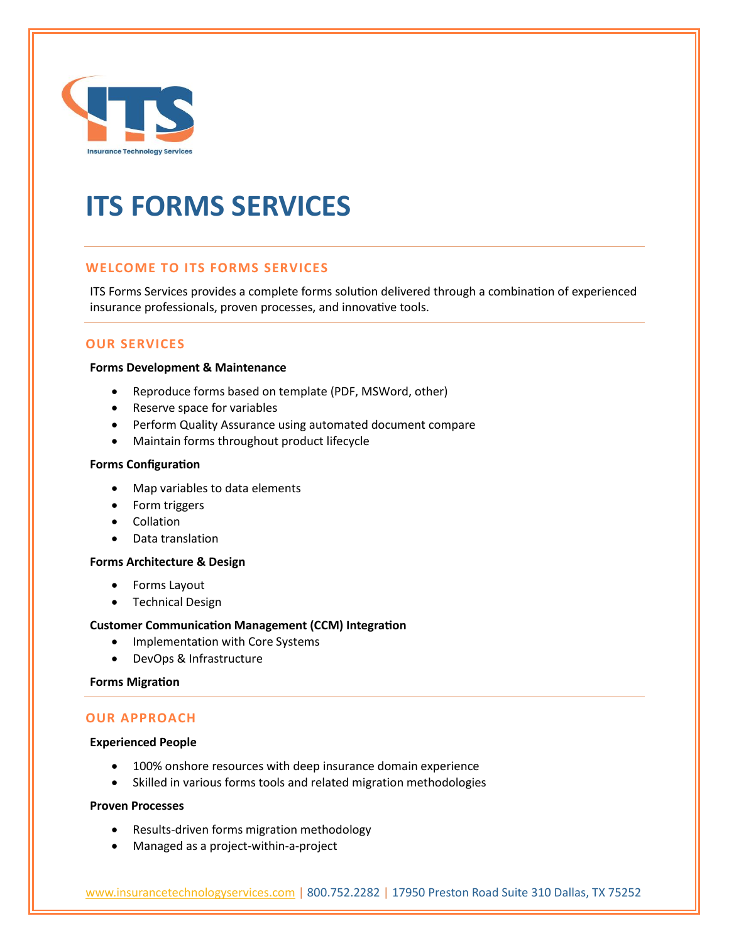

# **ITS FORMS SERVICES**

## **WELCOME TO ITS FORMS SERVICES**

ITS Forms Services provides a complete forms solution delivered through a combination of experienced insurance professionals, proven processes, and innovative tools.

## **OUR SERVICES**

#### **Forms Development & Maintenance**

- Reproduce forms based on template (PDF, MSWord, other)
- Reserve space for variables
- Perform Quality Assurance using automated document compare
- Maintain forms throughout product lifecycle

#### **Forms Configuration**

- Map variables to data elements
- Form triggers
- Collation
- Data translation

#### **Forms Architecture & Design**

- Forms Layout
- Technical Design

#### **Customer Communication Management (CCM) Integration**

- Implementation with Core Systems
- DevOps & Infrastructure

#### **Forms Migration**

## **OUR APPROACH**

#### **Experienced People**

- 100% onshore resources with deep insurance domain experience
- Skilled in various forms tools and related migration methodologies

#### **Proven Processes**

- Results-driven forms migration methodology
- Managed as a project-within-a-project